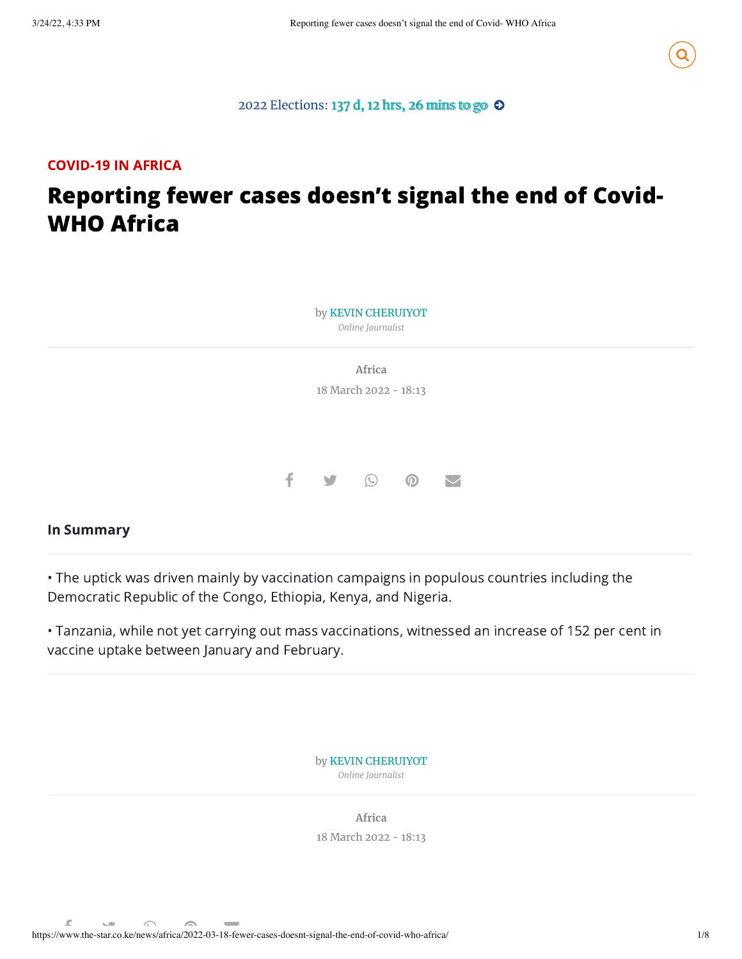

### 2022 [Elections:](https://www.the-star.co.ke/elections/) 137 d, 12 hrs, 26 mins to go  $\odot$

## COVID-19 IN AFRICA

# Reporting fewer cases doesn't signal the end of Covid-WHO Africa



#### In Summary

• The uptick was driven mainly by vaccination campaigns in populous countries including the Democratic Republic of the Congo, Ethiopia, Kenya, and Nigeria.

• Tanzania, while not yet carrying out mass vaccinations, witnessed an increase of 152 per cent in vaccine uptake between January and February.

> by KEVIN [CHERUIYOT](https://www.the-star.co.ke/authors/current-affairs-reporter) *Online Journalist*

**[Africa](https://www.the-star.co.ke/the-star/news/africa/)** 18 March 2022 - 18:13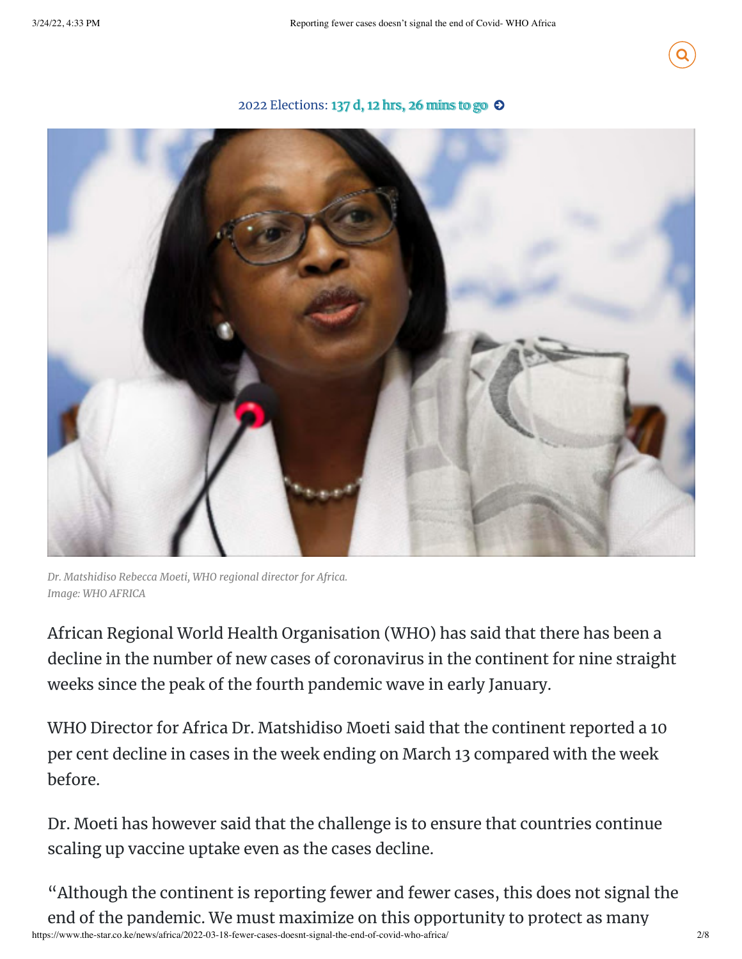

## 2022 [Elections:](https://lh3.googleusercontent.com/rh_BFRZN3OlzYjLJmb4sO-zcJM1GXQ4QmseqPWzZTBMEYi0yjyidpCu96tgWRoS9cVWnCF63fa7WYVSQje87nIBYePU2ew=s1200) 137 d, 12 hrs, 26 mins to go  $\odot$



*Dr. Matshidiso Rebecca Moeti, WHO regional director for Africa. Image: WHO AFRICA*

African Regional World Health Organisation (WHO) has said that there has been a decline in the number of new cases of coronavirus in the continent for nine straight weeks since the peak of the fourth pandemic wave in early January.

WHO Director for Africa Dr. Matshidiso Moeti said that the continent reported a 10 per cent decline in cases in the week ending on March 13 compared with the week before.

Dr. Moeti has however said that the challenge is to ensure that countries continue scaling up vaccine uptake even as the cases decline.

https://www.the-star.co.ke/news/africa/2022-03-18-fewer-cases-doesnt-signal-the-end-of-covid-who-africa/ 2/8 "Although the continent is reporting fewer and fewer cases, this does not signal the end of the pandemic. We must maximize on this opportunity to protect as many